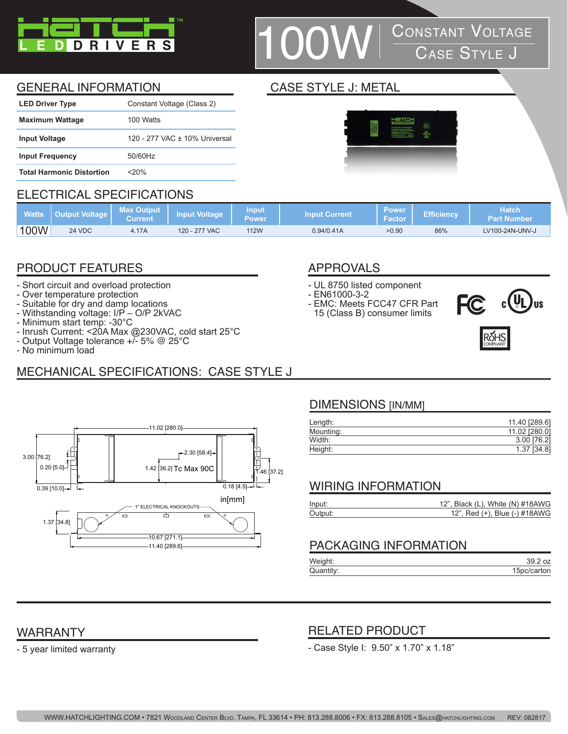

## **CONSTANT VOLTAGE**<br>CASE STYLE J

H

### GENERAL INFORMATION CASE STYLE J: METAL

| <b>LED Driver Type</b>           | Constant Voltage (Class 2)    |
|----------------------------------|-------------------------------|
| <b>Maximum Wattage</b>           | 100 Watts                     |
| <b>Input Voltage</b>             | 120 - 277 VAC ± 10% Universal |
| <b>Input Frequency</b>           | 50/60Hz                       |
| <b>Total Harmonic Distortion</b> | $<$ 20%                       |

#### ELECTRICAL SPECIFICATIONS

| <b>Watts</b> | <b>Output Voltage</b> | <b>Max Output</b><br>Current | Input Voltage | <b>Input</b><br>'ower | Input Current | <b>Power</b><br>Factor | <b>Efficiency</b> | Hatch<br>Number |
|--------------|-----------------------|------------------------------|---------------|-----------------------|---------------|------------------------|-------------------|-----------------|
| 100W         | 24 VDC                | 4.17A                        | 120 - 277 VAC | 112W                  | 0.94/0.41A    | >0.90                  | 86%               | LV100-24N-UNV-J |

#### PRODUCT FEATURES APPROVALS

- Short circuit and overload protection
- Over temperature protection
- Suitable for dry and damp locations
- Withstanding voltage: I/P O/P 2kVAC
- Minimum start temp: -30°C
- Inrush Current: <20A Max @230VAC, cold start 25°C
- Output Voltage tolerance +/- 5% @ 25°C
- No minimum load

## MECHANICAL SPECIFICATIONS: CASE STYLE J



- UL 8750 listed component
- EN61000-3-2
- EMC: Meets FCC47 CFR Part 15 (Class B) consumer limits





#### DIMENSIONS [IN/MM]

| 11.40 [289.6] |
|---------------|
| 11.02 [280.0] |
| 3.00 [76.2]   |
| 1.37 [34.8]   |
|               |

#### WIRING INFORMATION

| Input:  | 12", Black (L), White (N) #18AWG |
|---------|----------------------------------|
| Output: | 12", Red (+), Blue (-) #18AWG    |

#### PACKAGING INFORMATION

| vveigrit. |           |
|-----------|-----------|
| Quantity  | on<br>rar |

#### WARRANTY

- 5 year limited warranty

#### RELATED PRODUCT

- Case Style I: 9.50" x 1.70" x 1.18"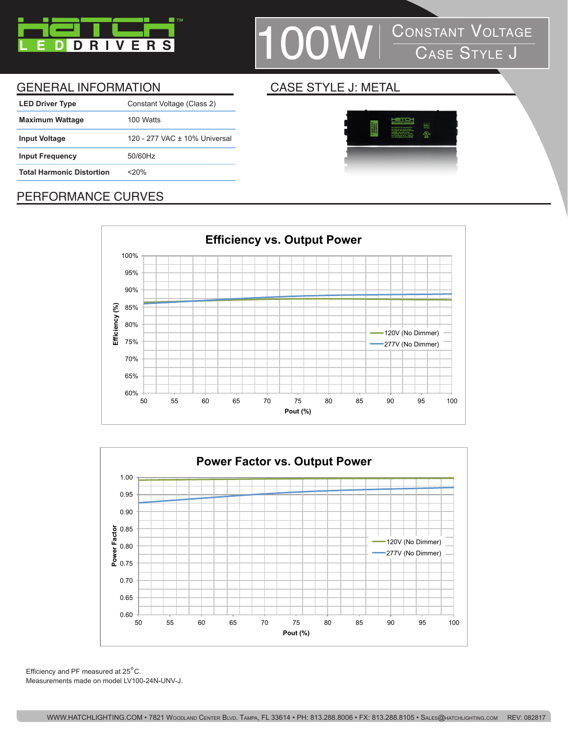

# W CONSTANT VOLTAGE

### GENERAL INFORMATION CASE STYLE J: METAL

| <b>LED Driver Type</b>           | Constant Voltage (Class 2)    |
|----------------------------------|-------------------------------|
| <b>Maximum Wattage</b>           | 100 Watts                     |
| <b>Input Voltage</b>             | 120 - 277 VAC + 10% Universal |
| <b>Input Frequency</b>           | 50/60Hz                       |
| <b>Total Harmonic Distortion</b> | $<$ 20%                       |



### PERFORMANCE CURVES





Efficiency and PF measured at 25°C. Measurements made on model LV100-24N-UNV-J.